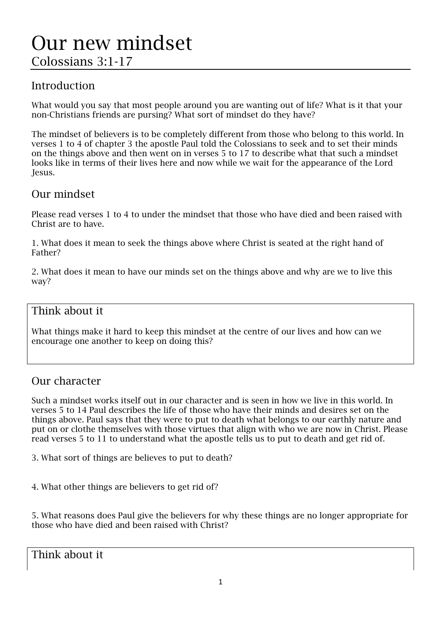## Introduction

What would you say that most people around you are wanting out of life? What is it that your non-Christians friends are pursing? What sort of mindset do they have?

The mindset of believers is to be completely different from those who belong to this world. In verses 1 to 4 of chapter 3 the apostle Paul told the Colossians to seek and to set their minds on the things above and then went on in verses 5 to 17 to describe what that such a mindset looks like in terms of their lives here and now while we wait for the appearance of the Lord Jesus.

#### Our mindset

Please read verses 1 to 4 to under the mindset that those who have died and been raised with Christ are to have.

1. What does it mean to seek the things above where Christ is seated at the right hand of Father?

2. What does it mean to have our minds set on the things above and why are we to live this way?

#### Think about it

What things make it hard to keep this mindset at the centre of our lives and how can we encourage one another to keep on doing this?

#### Our character

Such a mindset works itself out in our character and is seen in how we live in this world. In verses 5 to 14 Paul describes the life of those who have their minds and desires set on the things above. Paul says that they were to put to death what belongs to our earthly nature and put on or clothe themselves with those virtues that align with who we are now in Christ. Please read verses 5 to 11 to understand what the apostle tells us to put to death and get rid of.

3. What sort of things are believes to put to death?

4. What other things are believers to get rid of?

5. What reasons does Paul give the believers for why these things are no longer appropriate for those who have died and been raised with Christ?